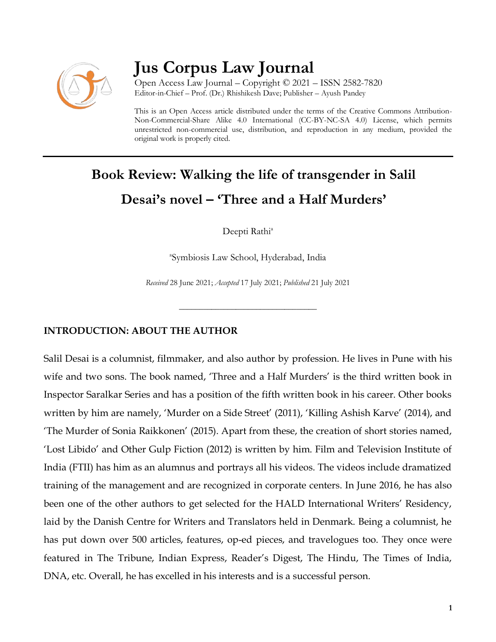

## **Jus Corpus Law Journal**

Open Access Law Journal – Copyright © 2021 – ISSN 2582-7820 Editor-in-Chief – Prof. (Dr.) Rhishikesh Dave; Publisher – Ayush Pandey

This is an Open Access article distributed under the terms of the Creative Commons Attribution-Non-Commercial-Share Alike 4.0 International (CC-BY-NC-SA 4.0) License, which permits unrestricted non-commercial use, distribution, and reproduction in any medium, provided the original work is properly cited.

# **Book Review: Walking the life of transgender in Salil Desai's novel – 'Three and a Half Murders'**

Deepti Rathi<sup>a</sup>

a Symbiosis Law School, Hyderabad, India

*Received* 28 June 2021; *Accepted* 17 July 2021; *Published* 21 July 2021

\_\_\_\_\_\_\_\_\_\_\_\_\_\_\_\_\_\_\_\_\_\_\_\_\_\_\_\_\_\_\_\_\_\_

## **INTRODUCTION: ABOUT THE AUTHOR**

Salil Desai is a columnist, filmmaker, and also author by profession. He lives in Pune with his wife and two sons. The book named, 'Three and a Half Murders' is the third written book in Inspector Saralkar Series and has a position of the fifth written book in his career. Other books written by him are namely, 'Murder on a Side Street' (2011), 'Killing Ashish Karve' (2014), and 'The Murder of Sonia Raikkonen' (2015). Apart from these, the creation of short stories named, 'Lost Libido' and Other Gulp Fiction (2012) is written by him. Film and Television Institute of India (FTII) has him as an alumnus and portrays all his videos. The videos include dramatized training of the management and are recognized in corporate centers. In June 2016, he has also been one of the other authors to get selected for the HALD International Writers' Residency, laid by the Danish Centre for Writers and Translators held in Denmark. Being a columnist, he has put down over 500 articles, features, op-ed pieces, and travelogues too. They once were featured in The Tribune, Indian Express, Reader's Digest, The Hindu, The Times of India, DNA, etc. Overall, he has excelled in his interests and is a successful person.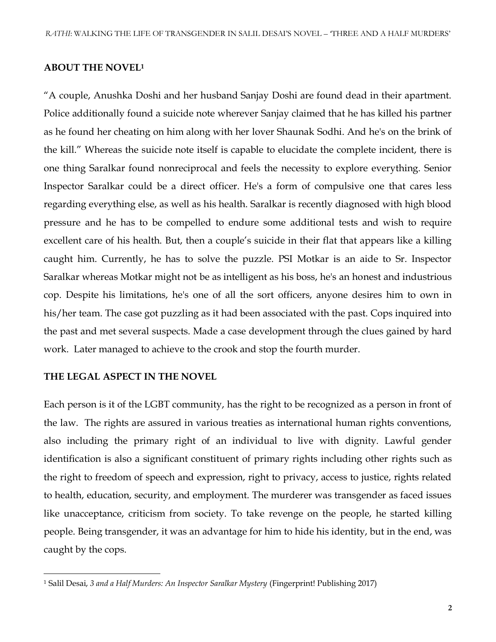#### **ABOUT THE NOVEL<sup>1</sup>**

"A couple, Anushka Doshi and her husband Sanjay Doshi are found dead in their apartment. Police additionally found a suicide note wherever Sanjay claimed that he has killed his partner as he found her cheating on him along with her lover Shaunak Sodhi. And he's on the brink of the kill." Whereas the suicide note itself is capable to elucidate the complete incident, there is one thing Saralkar found nonreciprocal and feels the necessity to explore everything. Senior Inspector Saralkar could be a direct officer. He's a form of compulsive one that cares less regarding everything else, as well as his health. Saralkar is recently diagnosed with high blood pressure and he has to be compelled to endure some additional tests and wish to require excellent care of his health. But, then a couple's suicide in their flat that appears like a killing caught him. Currently, he has to solve the puzzle. PSI Motkar is an aide to Sr. Inspector Saralkar whereas Motkar might not be as intelligent as his boss, he's an honest and industrious cop. Despite his limitations, he's one of all the sort officers, anyone desires him to own in his/her team. The case got puzzling as it had been associated with the past. Cops inquired into the past and met several suspects. Made a case development through the clues gained by hard work. Later managed to achieve to the crook and stop the fourth murder.

#### **THE LEGAL ASPECT IN THE NOVEL**

 $\overline{\phantom{a}}$ 

Each person is it of the LGBT community, has the right to be recognized as a person in front of the law. The rights are assured in various treaties as international human rights conventions, also including the primary right of an individual to live with dignity. Lawful gender identification is also a significant constituent of primary rights including other rights such as the right to freedom of speech and expression, right to privacy, access to justice, rights related to health, education, security, and employment. The murderer was transgender as faced issues like unacceptance, criticism from society. To take revenge on the people, he started killing people. Being transgender, it was an advantage for him to hide his identity, but in the end, was caught by the cops.

<sup>1</sup> Salil Desai, *3 and a Half Murders: An Inspector Saralkar Mystery* (Fingerprint! Publishing 2017)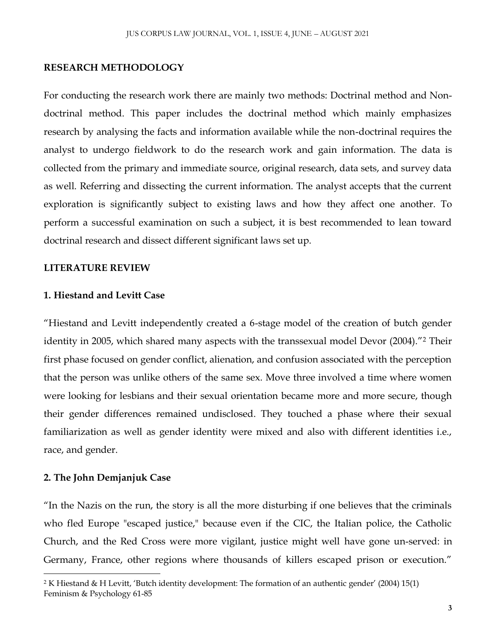#### **RESEARCH METHODOLOGY**

For conducting the research work there are mainly two methods: Doctrinal method and Nondoctrinal method. This paper includes the doctrinal method which mainly emphasizes research by analysing the facts and information available while the non-doctrinal requires the analyst to undergo fieldwork to do the research work and gain information. The data is collected from the primary and immediate source, original research, data sets, and survey data as well. Referring and dissecting the current information. The analyst accepts that the current exploration is significantly subject to existing laws and how they affect one another. To perform a successful examination on such a subject, it is best recommended to lean toward doctrinal research and dissect different significant laws set up.

#### **LITERATURE REVIEW**

#### **1. Hiestand and Levitt Case**

"Hiestand and Levitt independently created a 6-stage model of the creation of butch gender identity in 2005, which shared many aspects with the transsexual model Devor (2004)."<sup>2</sup> Their first phase focused on gender conflict, alienation, and confusion associated with the perception that the person was unlike others of the same sex. Move three involved a time where women were looking for lesbians and their sexual orientation became more and more secure, though their gender differences remained undisclosed. They touched a phase where their sexual familiarization as well as gender identity were mixed and also with different identities i.e., race, and gender.

#### **2. The John Demjanjuk Case**

 $\overline{\phantom{a}}$ 

"In the Nazis on the run, the story is all the more disturbing if one believes that the criminals who fled Europe "escaped justice," because even if the CIC, the Italian police, the Catholic Church, and the Red Cross were more vigilant, justice might well have gone un-served: in Germany, France, other regions where thousands of killers escaped prison or execution."

<sup>2</sup> K Hiestand & H Levitt, 'Butch identity development: The formation of an authentic gender' (2004) 15(1) Feminism & Psychology 61-85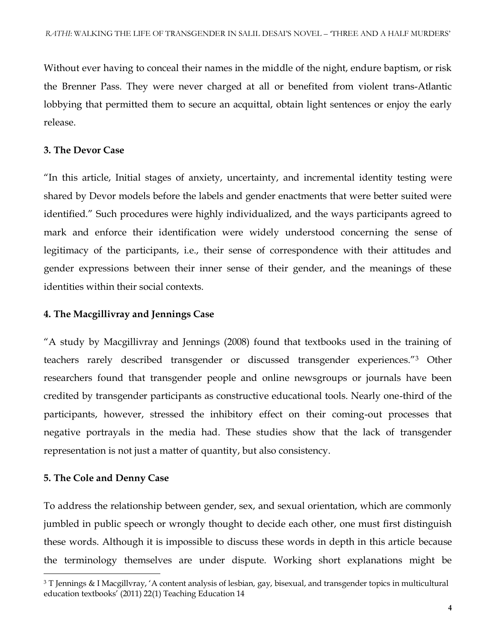Without ever having to conceal their names in the middle of the night, endure baptism, or risk the Brenner Pass. They were never charged at all or benefited from violent trans-Atlantic lobbying that permitted them to secure an acquittal, obtain light sentences or enjoy the early release.

### **3. The Devor Case**

"In this article, Initial stages of anxiety, uncertainty, and incremental identity testing were shared by Devor models before the labels and gender enactments that were better suited were identified." Such procedures were highly individualized, and the ways participants agreed to mark and enforce their identification were widely understood concerning the sense of legitimacy of the participants, i.e., their sense of correspondence with their attitudes and gender expressions between their inner sense of their gender, and the meanings of these identities within their social contexts.

## **4. The Macgillivray and Jennings Case**

"A study by Macgillivray and Jennings (2008) found that textbooks used in the training of teachers rarely described transgender or discussed transgender experiences."<sup>3</sup> Other researchers found that transgender people and online newsgroups or journals have been credited by transgender participants as constructive educational tools. Nearly one-third of the participants, however, stressed the inhibitory effect on their coming-out processes that negative portrayals in the media had. These studies show that the lack of transgender representation is not just a matter of quantity, but also consistency.

## **5. The Cole and Denny Case**

 $\overline{\phantom{a}}$ 

To address the relationship between gender, sex, and sexual orientation, which are commonly jumbled in public speech or wrongly thought to decide each other, one must first distinguish these words. Although it is impossible to discuss these words in depth in this article because the terminology themselves are under dispute. Working short explanations might be

<sup>3</sup> T Jennings & I Macgillvray, 'A content analysis of lesbian, gay, bisexual, and transgender topics in multicultural education textbooks' (2011) 22(1) Teaching Education 14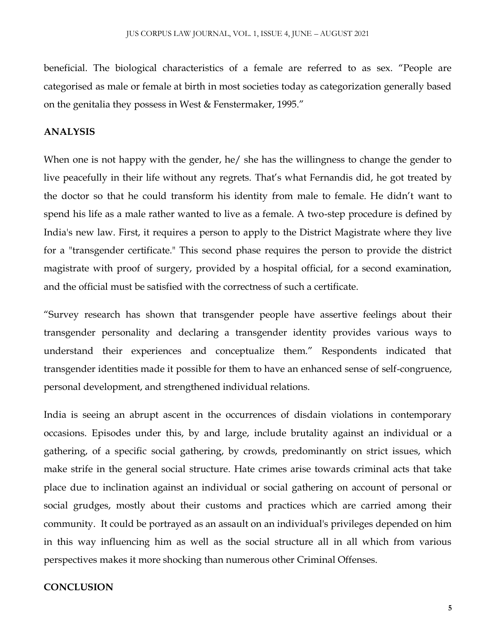beneficial. The biological characteristics of a female are referred to as sex. "People are categorised as male or female at birth in most societies today as categorization generally based on the genitalia they possess in West & Fenstermaker, 1995."

## **ANALYSIS**

When one is not happy with the gender, he/ she has the willingness to change the gender to live peacefully in their life without any regrets. That's what Fernandis did, he got treated by the doctor so that he could transform his identity from male to female. He didn't want to spend his life as a male rather wanted to live as a female. A two-step procedure is defined by India's new law. First, it requires a person to apply to the District Magistrate where they live for a "transgender certificate." This second phase requires the person to provide the district magistrate with proof of surgery, provided by a hospital official, for a second examination, and the official must be satisfied with the correctness of such a certificate.

"Survey research has shown that transgender people have assertive feelings about their transgender personality and declaring a transgender identity provides various ways to understand their experiences and conceptualize them." Respondents indicated that transgender identities made it possible for them to have an enhanced sense of self-congruence, personal development, and strengthened individual relations.

India is seeing an abrupt ascent in the occurrences of disdain violations in contemporary occasions. Episodes under this, by and large, include brutality against an individual or a gathering, of a specific social gathering, by crowds, predominantly on strict issues, which make strife in the general social structure. Hate crimes arise towards criminal acts that take place due to inclination against an individual or social gathering on account of personal or social grudges, mostly about their customs and practices which are carried among their community. It could be portrayed as an assault on an individual's privileges depended on him in this way influencing him as well as the social structure all in all which from various perspectives makes it more shocking than numerous other Criminal Offenses.

#### **CONCLUSION**